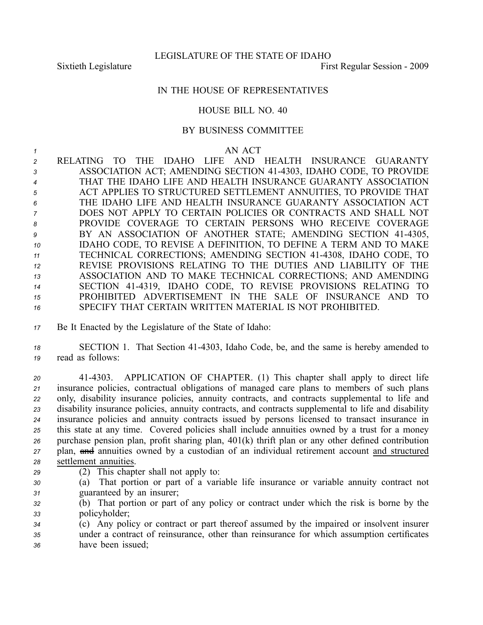## IN THE HOUSE OF REPRESENTATIVES

## HOUSE BILL NO. 40

## BY BUSINESS COMMITTEE

## *1* AN ACT

 RELATING TO THE IDAHO LIFE AND HEALTH INSURANCE GUARANTY ASSOCIATION ACT; AMENDING SECTION 414303, IDAHO CODE, TO PROVIDE THAT THE IDAHO LIFE AND HEALTH INSURANCE GUARANTY ASSOCIATION ACT APPLIES TO STRUCTURED SETTLEMENT ANNUITIES, TO PROVIDE THAT THE IDAHO LIFE AND HEALTH INSURANCE GUARANTY ASSOCIATION ACT DOES NOT APPLY TO CERTAIN POLICIES OR CONTRACTS AND SHALL NOT PROVIDE COVERAGE TO CERTAIN PERSONS WHO RECEIVE COVERAGE 9 BY AN ASSOCIATION OF ANOTHER STATE; AMENDING SECTION 41-4305, IDAHO CODE, TO REVISE A DEFINITION, TO DEFINE A TERM AND TO MAKE TECHNICAL CORRECTIONS; AMENDING SECTION 414308, IDAHO CODE, TO REVISE PROVISIONS RELATING TO THE DUTIES AND LIABILITY OF THE ASSOCIATION AND TO MAKE TECHNICAL CORRECTIONS; AND AMENDING SECTION 414319, IDAHO CODE, TO REVISE PROVISIONS RELATING TO PROHIBITED ADVERTISEMENT IN THE SALE OF INSURANCE AND TO SPECIFY THAT CERTAIN WRITTEN MATERIAL IS NOT PROHIBITED.

*<sup>17</sup>* Be It Enacted by the Legislature of the State of Idaho:

18 **SECTION 1.** That Section 41-4303, Idaho Code, be, and the same is hereby amended to *<sup>19</sup>* read as follows:

 414303. APPLICATION OF CHAPTER. (1) This chapter shall apply to direct life insurance policies, contractual obligations of managed care plans to members of such plans only, disability insurance policies, annuity contracts, and contracts supplemental to life and disability insurance policies, annuity contracts, and contracts supplemental to life and disability insurance policies and annuity contracts issued by persons licensed to transact insurance in this state at any time. Covered policies shall include annuities owned by <sup>a</sup> trust for <sup>a</sup> money purchase pension plan, profit sharing plan, 401(k) thrift plan or any other defined contribution plan, and annuities owned by <sup>a</sup> custodian of an individual retirement account and structured settlement annuities.

- *<sup>29</sup>* (2) This chapter shall not apply to:
- *<sup>30</sup>* (a) That portion or par<sup>t</sup> of <sup>a</sup> variable life insurance or variable annuity contract not *<sup>31</sup>* guaranteed by an insurer;
- *<sup>32</sup>* (b) That portion or par<sup>t</sup> of any policy or contract under which the risk is borne by the *<sup>33</sup>* policyholder;
- *<sup>34</sup>* (c) Any policy or contract or par<sup>t</sup> thereof assumed by the impaired or insolvent insurer *<sup>35</sup>* under <sup>a</sup> contract of reinsurance, other than reinsurance for which assumption certificates *<sup>36</sup>* have been issued;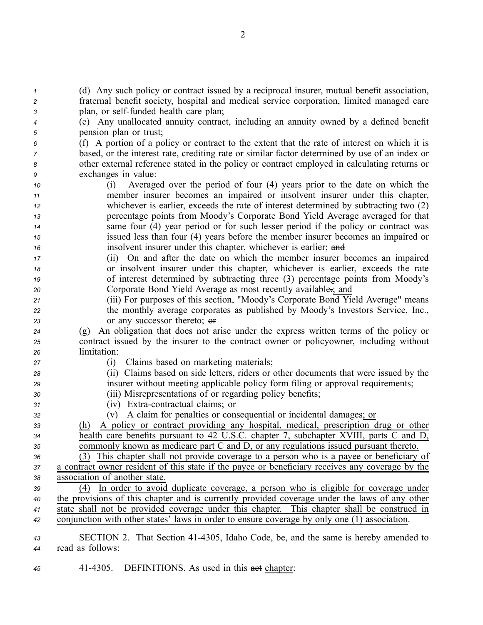| $\mathcal I$ | (d) Any such policy or contract issued by a reciprocal insurer, mutual benefit association,      |
|--------------|--------------------------------------------------------------------------------------------------|
| 2            | fraternal benefit society, hospital and medical service corporation, limited managed care        |
| 3            | plan, or self-funded health care plan;                                                           |
| 4            | (e) Any unallocated annuity contract, including an annuity owned by a defined benefit            |
| 5            | pension plan or trust;                                                                           |
| 6            | (f) A portion of a policy or contract to the extent that the rate of interest on which it is     |
| 7            | based, or the interest rate, crediting rate or similar factor determined by use of an index or   |
| 8            | other external reference stated in the policy or contract employed in calculating returns or     |
| 9            | exchanges in value:                                                                              |
| 10           | Averaged over the period of four (4) years prior to the date on which the<br>(i)                 |
| 11           | member insurer becomes an impaired or insolvent insurer under this chapter,                      |
| 12           | whichever is earlier, exceeds the rate of interest determined by subtracting two (2)             |
| 13           | percentage points from Moody's Corporate Bond Yield Average averaged for that                    |
| 14           | same four (4) year period or for such lesser period if the policy or contract was                |
| 15           | issued less than four (4) years before the member insurer becomes an impaired or                 |
| 16           | insolvent insurer under this chapter, whichever is earlier; and                                  |
| 17           | (ii) On and after the date on which the member insurer becomes an impaired                       |
| 18           | or insolvent insurer under this chapter, whichever is earlier, exceeds the rate                  |
| 19           | of interest determined by subtracting three (3) percentage points from Moody's                   |
| 20           | Corporate Bond Yield Average as most recently available ; and                                    |
| 21           | (iii) For purposes of this section, "Moody's Corporate Bond Yield Average" means                 |
| 22           | the monthly average corporates as published by Moody's Investors Service, Inc.,                  |
| 23           | or any successor thereto; or                                                                     |
| 24           | An obligation that does not arise under the express written terms of the policy or<br>(g)        |
| 25           | contract issued by the insurer to the contract owner or policyowner, including without           |
| 26           | limitation:                                                                                      |
| 27           | Claims based on marketing materials;<br>(1)                                                      |
| 28           | (ii) Claims based on side letters, riders or other documents that were issued by the             |
| 29           | insurer without meeting applicable policy form filing or approval requirements;                  |
| 30           | (iii) Misrepresentations of or regarding policy benefits;                                        |
| 31           | (iv) Extra-contractual claims; or                                                                |
| 32           | A claim for penalties or consequential or incidental damages; or<br>(v)                          |
| 33           | A policy or contract providing any hospital, medical, prescription drug or other<br><u>(h)</u>   |
| 34           | health care benefits pursuant to 42 U.S.C. chapter 7, subchapter XVIII, parts C and D,           |
| 35           | commonly known as medicare part C and D, or any regulations issued pursuant thereto.             |
| 36           | This chapter shall not provide coverage to a person who is a payee or beneficiary of<br>(3)      |
| 37           | a contract owner resident of this state if the payee or beneficiary receives any coverage by the |
| 38           | association of another state.                                                                    |
| 39           | In order to avoid duplicate coverage, a person who is eligible for coverage under<br>(4)         |
| 40           | the provisions of this chapter and is currently provided coverage under the laws of any other    |
| 41           | state shall not be provided coverage under this chapter. This chapter shall be construed in      |
| 42           | conjunction with other states' laws in order to ensure coverage by only one (1) association.     |
|              |                                                                                                  |
| 43           | SECTION 2. That Section 41-4305, Idaho Code, be, and the same is hereby amended to               |
| 44           | read as follows:                                                                                 |

45 41-4305. DEFINITIONS. As used in this **act** chapter: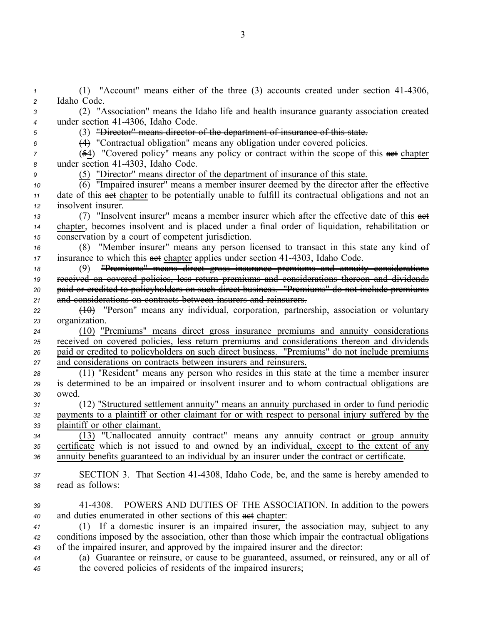(1) "Account" means either of the three (3) accounts created under section 414306, Idaho Code. (2) "Association" means the Idaho life and health insurance guaranty association created 4 under section 41-4306, Idaho Code. (3) "Director" means director of the department of insurance of this state. (4) "Contractual obligation" means any obligation under covered policies. (54) "Covered policy" means any policy or contract within the scope of this and chapter 8 under section 41-4303, Idaho Code. (5) "Director" means director of the department of insurance of this state.  $\overline{(6)}$  "Impaired insurer" means a member insurer deemed by the director after the effective date of this **aet** chapter to be potentially unable to fulfill its contractual obligations and not an insolvent insurer. 13 (7) "Insolvent insurer" means a member insurer which after the effective date of this  $\frac{1}{\sqrt{1-\frac{1}{n}}}$  chapter, becomes insolvent and is placed under <sup>a</sup> final order of liquidation, rehabilitation or conservation by <sup>a</sup> court of competent jurisdiction. (8) "Member insurer" means any person licensed to transact in this state any kind of insurance to which this **aet** chapter applies under section 41-4303, Idaho Code. (9) "Premiums" means direct gross insurance premiums and annuity considerations received on covered policies, less return premiums and considerations thereon and dividends paid or credited to policyholders on such direct business. "Premiums" do not include premiums and considerations on contracts between insurers and reinsurers. (10) "Person" means any individual, corporation, partnership, association or voluntary organization. (10) "Premiums" means direct gross insurance premiums and annuity considerations received on covered policies, less return premiums and considerations thereon and dividends paid or credited to policyholders on such direct business. "Premiums" do not include premiums and considerations on contracts between insurers and reinsurers. (11) "Resident" means any person who resides in this state at the time <sup>a</sup> member insurer is determined to be an impaired or insolvent insurer and to whom contractual obligations are *<sup>30</sup>* owed. (12) "Structured settlement annuity" means an annuity purchased in order to fund periodic payments to <sup>a</sup> plaintiff or other claimant for or with respec<sup>t</sup> to personal injury suffered by the plaintiff or other claimant. (13) "Unallocated annuity contract" means any annuity contract or group annuity certificate which is not issued to and owned by an individual, excep<sup>t</sup> to the extent of any annuity benefits guaranteed to an individual by an insurer under the contract or certificate. SECTION 3. That Section 414308, Idaho Code, be, and the same is hereby amended to read as follows: 414308. POWERS AND DUTIES OF THE ASSOCIATION. In addition to the powers 40 and duties enumerated in other sections of this **act** chapter: (1) If <sup>a</sup> domestic insurer is an impaired insurer, the association may, subject to any conditions imposed by the association, other than those which impair the contractual obligations of the impaired insurer, and approved by the impaired insurer and the director: (a) Guarantee or reinsure, or cause to be guaranteed, assumed, or reinsured, any or all of the covered policies of residents of the impaired insurers;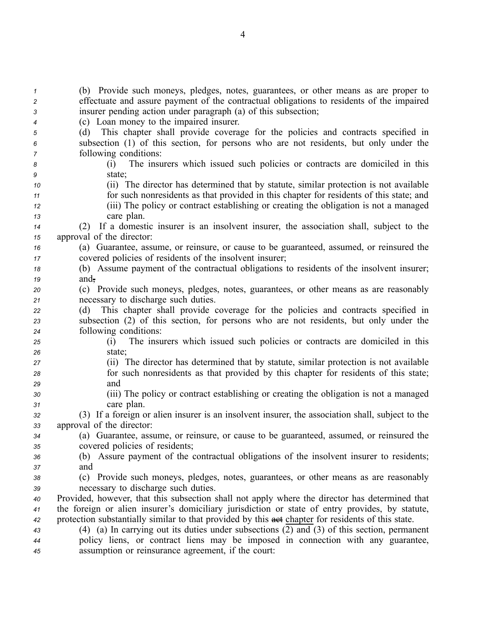| $\mathbf{1}$<br>2 | (b) Provide such moneys, pledges, notes, guarantees, or other means as are proper to<br>effectuate and assure payment of the contractual obligations to residents of the impaired |
|-------------------|-----------------------------------------------------------------------------------------------------------------------------------------------------------------------------------|
| 3                 | insurer pending action under paragraph (a) of this subsection;                                                                                                                    |
| 4                 | (c) Loan money to the impaired insurer.                                                                                                                                           |
| 5<br>6            | (d) This chapter shall provide coverage for the policies and contracts specified in<br>subsection (1) of this section, for persons who are not residents, but only under the      |
| 7                 | following conditions:                                                                                                                                                             |
| 8                 | The insurers which issued such policies or contracts are domiciled in this<br>(1)                                                                                                 |
| 9                 | state;                                                                                                                                                                            |
| 10                | (ii) The director has determined that by statute, similar protection is not available                                                                                             |
| 11                | for such nonresidents as that provided in this chapter for residents of this state; and                                                                                           |
| 12                | (iii) The policy or contract establishing or creating the obligation is not a managed                                                                                             |
| 13                | care plan.                                                                                                                                                                        |
| 14                | (2) If a domestic insurer is an insolvent insurer, the association shall, subject to the                                                                                          |
| 15                | approval of the director:                                                                                                                                                         |
| 16                | (a) Guarantee, assume, or reinsure, or cause to be guaranteed, assumed, or reinsured the                                                                                          |
| 17                | covered policies of residents of the insolvent insurer;                                                                                                                           |
| 18                | (b) Assume payment of the contractual obligations to residents of the insolvent insurer;                                                                                          |
| 19                | and,                                                                                                                                                                              |
| 20                | (c) Provide such moneys, pledges, notes, guarantees, or other means as are reasonably                                                                                             |
| 21                | necessary to discharge such duties.                                                                                                                                               |
| 22                | This chapter shall provide coverage for the policies and contracts specified in<br>(d)                                                                                            |
| 23                | subsection (2) of this section, for persons who are not residents, but only under the                                                                                             |
| 24                | following conditions:                                                                                                                                                             |
| 25                | The insurers which issued such policies or contracts are domiciled in this<br>(i)                                                                                                 |
| 26                | state;                                                                                                                                                                            |
| 27                | (ii) The director has determined that by statute, similar protection is not available                                                                                             |
| 28                | for such nonresidents as that provided by this chapter for residents of this state;                                                                                               |
| 29                | and                                                                                                                                                                               |
| 30                | (iii) The policy or contract establishing or creating the obligation is not a managed                                                                                             |
| 31                | care plan.                                                                                                                                                                        |
| 32                | (3) If a foreign or alien insurer is an insolvent insurer, the association shall, subject to the                                                                                  |
| 33                | approval of the director:                                                                                                                                                         |
| 34                | (a) Guarantee, assume, or reinsure, or cause to be guaranteed, assumed, or reinsured the                                                                                          |
| 35                | covered policies of residents;                                                                                                                                                    |
| 36                | (b) Assure payment of the contractual obligations of the insolvent insurer to residents;                                                                                          |
| 37                | and                                                                                                                                                                               |
| 38                | (c) Provide such moneys, pledges, notes, guarantees, or other means as are reasonably                                                                                             |
| 39                | necessary to discharge such duties.                                                                                                                                               |
| 40                | Provided, however, that this subsection shall not apply where the director has determined that                                                                                    |
| 41                | the foreign or alien insurer's domiciliary jurisdiction or state of entry provides, by statute,                                                                                   |
| 42                | protection substantially similar to that provided by this aet chapter for residents of this state.                                                                                |
| 43                | $(4)$ (a) In carrying out its duties under subsections $(2)$ and $(3)$ of this section, permanent                                                                                 |
| 44                | policy liens, or contract liens may be imposed in connection with any guarantee,                                                                                                  |
| 45                | assumption or reinsurance agreement, if the court:                                                                                                                                |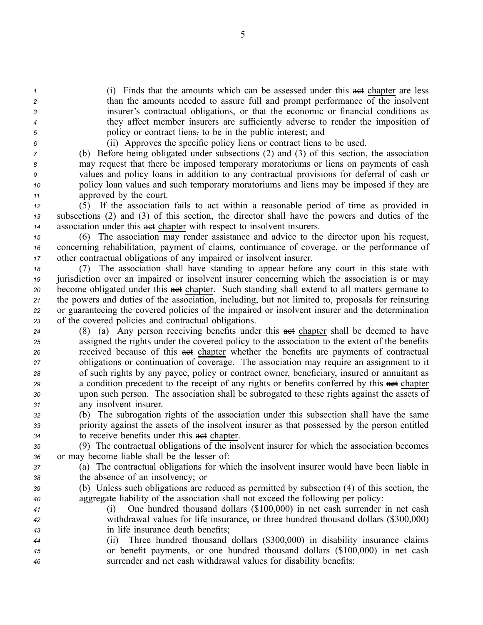(i) Finds that the amounts which can be assessed under this **act** chapter are less than the amounts needed to assure full and promp<sup>t</sup> performance of the insolvent insurer's contractual obligations, or that the economic or financial conditions as they affect member insurers are sufficiently adverse to render the imposition of policy or contract liens, to be in the public interest; and

*<sup>6</sup>* (ii) Approves the specific policy liens or contract liens to be used.

 (b) Before being obligated under subsections (2) and (3) of this section, the association may reques<sup>t</sup> that there be imposed temporary moratoriums or liens on payments of cash values and policy loans in addition to any contractual provisions for deferral of cash or policy loan values and such temporary moratoriums and liens may be imposed if they are approved by the court.

*<sup>12</sup>* (5) If the association fails to act within <sup>a</sup> reasonable period of time as provided in *<sup>13</sup>* subsections (2) and (3) of this section, the director shall have the powers and duties of the *<sup>14</sup>* association under this act chapter with respec<sup>t</sup> to insolvent insurers.

*<sup>15</sup>* (6) The association may render assistance and advice to the director upon his request, *<sup>16</sup>* concerning rehabilitation, paymen<sup>t</sup> of claims, continuance of coverage, or the performance of *<sup>17</sup>* other contractual obligations of any impaired or insolvent insurer.

 (7) The association shall have standing to appear before any court in this state with jurisdiction over an impaired or insolvent insurer concerning which the association is or may become obligated under this **aet** chapter. Such standing shall extend to all matters germane to the powers and duties of the association, including, but not limited to, proposals for reinsuring or guaranteeing the covered policies of the impaired or insolvent insurer and the determination of the covered policies and contractual obligations.

24 (8) (a) Any person receiving benefits under this **act** chapter shall be deemed to have assigned the rights under the covered policy to the association to the extent of the benefits received because of this act chapter whether the benefits are payments of contractual obligations or continuation of coverage. The association may require an assignment to it of such rights by any payee, policy or contract owner, beneficiary, insured or annuitant as 29 a condition precedent to the receipt of any rights or benefits conferred by this **act** chapter upon such person. The association shall be subrogated to these rights against the assets of any insolvent insurer.

*<sup>32</sup>* (b) The subrogation rights of the association under this subsection shall have the same *<sup>33</sup>* priority against the assets of the insolvent insurer as that possessed by the person entitled *34* to receive benefits under this **a**ct chapter.

*<sup>35</sup>* (9) The contractual obligations of the insolvent insurer for which the association becomes *<sup>36</sup>* or may become liable shall be the lesser of:

*<sup>37</sup>* (a) The contractual obligations for which the insolvent insurer would have been liable in *<sup>38</sup>* the absence of an insolvency; or

- *<sup>39</sup>* (b) Unless such obligations are reduced as permitted by subsection (4) of this section, the *<sup>40</sup>* aggregate liability of the association shall not exceed the following per policy:
- *<sup>41</sup>* (i) One hundred thousand dollars (\$100,000) in net cash surrender in net cash *<sup>42</sup>* withdrawal values for life insurance, or three hundred thousand dollars (\$300,000) *<sup>43</sup>* in life insurance death benefits;
- *<sup>44</sup>* (ii) Three hundred thousand dollars (\$300,000) in disability insurance claims *<sup>45</sup>* or benefit payments, or one hundred thousand dollars (\$100,000) in net cash *<sup>46</sup>* surrender and net cash withdrawal values for disability benefits;